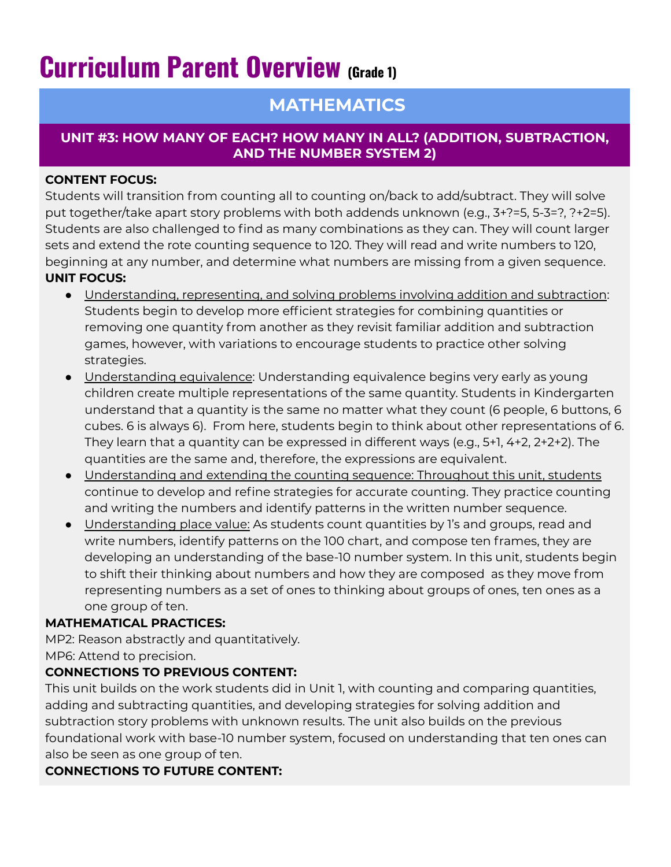# **Curriculum Parent Overview (Grade 1)**

# **MATHEMATICS**

#### **UNIT #3: HOW MANY OF EACH? HOW MANY IN ALL? (ADDITION, SUBTRACTION, AND THE NUMBER SYSTEM 2)**

#### **CONTENT FOCUS:**

Students will transition from counting all to counting on/back to add/subtract. They will solve put together/take apart story problems with both addends unknown (e.g., 3+?=5, 5-3=?, ?+2=5). Students are also challenged to find as many combinations as they can. They will count larger sets and extend the rote counting sequence to 120. They will read and write numbers to 120, beginning at any number, and determine what numbers are missing from a given sequence. **UNIT FOCUS:**

- Understanding, representing, and solving problems involving addition and subtraction: Students begin to develop more efficient strategies for combining quantities or removing one quantity from another as they revisit familiar addition and subtraction games, however, with variations to encourage students to practice other solving strategies.
- Understanding equivalence: Understanding equivalence begins very early as young children create multiple representations of the same quantity. Students in Kindergarten understand that a quantity is the same no matter what they count (6 people, 6 buttons, 6 cubes. 6 is always 6). From here, students begin to think about other representations of 6. They learn that a quantity can be expressed in different ways (e.g., 5+1, 4+2, 2+2+2). The quantities are the same and, therefore, the expressions are equivalent.
- Understanding and extending the counting sequence: Throughout this unit, students continue to develop and refine strategies for accurate counting. They practice counting and writing the numbers and identify patterns in the written number sequence.
- Understanding place value: As students count quantities by 1's and groups, read and write numbers, identify patterns on the 100 chart, and compose ten frames, they are developing an understanding of the base-10 number system. In this unit, students begin to shift their thinking about numbers and how they are composed as they move from representing numbers as a set of ones to thinking about groups of ones, ten ones as a one group of ten.

#### **MATHEMATICAL PRACTICES:**

MP2: Reason abstractly and quantitatively. MP6: Attend to precision.

## **CONNECTIONS TO PREVIOUS CONTENT:**

This unit builds on the work students did in Unit 1, with counting and comparing quantities, adding and subtracting quantities, and developing strategies for solving addition and subtraction story problems with unknown results. The unit also builds on the previous foundational work with base-10 number system, focused on understanding that ten ones can also be seen as one group of ten.

## **CONNECTIONS TO FUTURE CONTENT:**